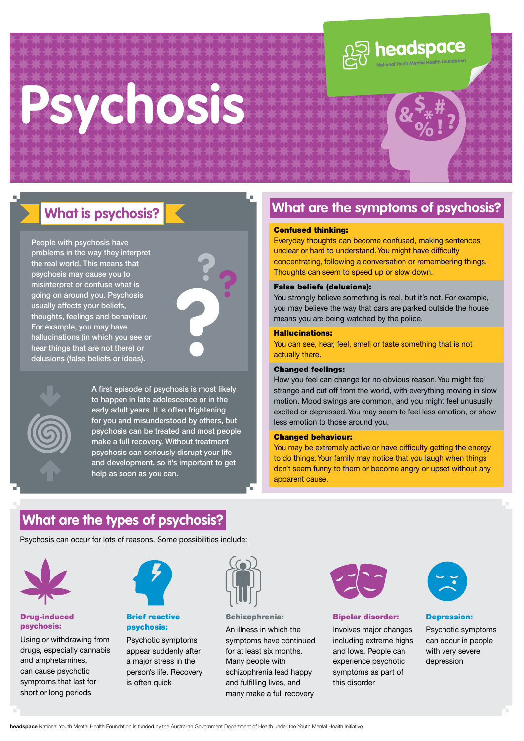# **Psychosis**



# **What is psychosis?**

People with psychosis have problems in the way they interpret the real world. This means that psychosis may cause you to misinterpret or confuse what is going on around you. Psychosis usually affects your beliefs, thoughts, feelings and behaviour. For example, you may have hallucinations (in which you see or hear things that are not there) or delusions (false beliefs or ideas).





A first episode of psychosis is most likely to happen in late adolescence or in the early adult years. It is often frightening for you and misunderstood by others, but psychosis can be treated and most people make a full recovery. Without treatment psychosis can seriously disrupt your life and development, so it's important to get help as soon as you can.

### **What are the symptoms of psychosis?**

#### Confused thinking:

Everyday thoughts can become confused, making sentences unclear or hard to understand. You might have difficulty concentrating, following a conversation or remembering things. Thoughts can seem to speed up or slow down.

#### False beliefs (delusions):

You strongly believe something is real, but it's not. For example, you may believe the way that cars are parked outside the house means you are being watched by the police.

#### Hallucinations:

You can see, hear, feel, smell or taste something that is not actually there.

#### Changed feelings:

How you feel can change for no obvious reason. You might feel strange and cut off from the world, with everything moving in slow motion. Mood swings are common, and you might feel unusually excited or depressed. You may seem to feel less emotion, or show less emotion to those around you.

#### Changed behaviour:

You may be extremely active or have difficulty getting the energy to do things. Your family may notice that you laugh when things don't seem funny to them or become angry or upset without any apparent cause.

### **What are the types of psychosis?**

Psychosis can occur for lots of reasons. Some possibilities include:



#### Drug-induced psychosis:

Using or withdrawing from drugs, especially cannabis and amphetamines, can cause psychotic symptoms that last for short or long periods



#### Brief reactive psychosis:

Psychotic symptoms appear suddenly after a major stress in the person's life. Recovery is often quick



Schizophrenia:

An illness in which the symptoms have continued for at least six months. Many people with schizophrenia lead happy and fulfilling lives, and many make a full recovery



#### Bipolar disorder:

Involves major changes including extreme highs and lows. People can experience psychotic symptoms as part of this disorder



#### Depression:

Psychotic symptoms can occur in people with very severe depression